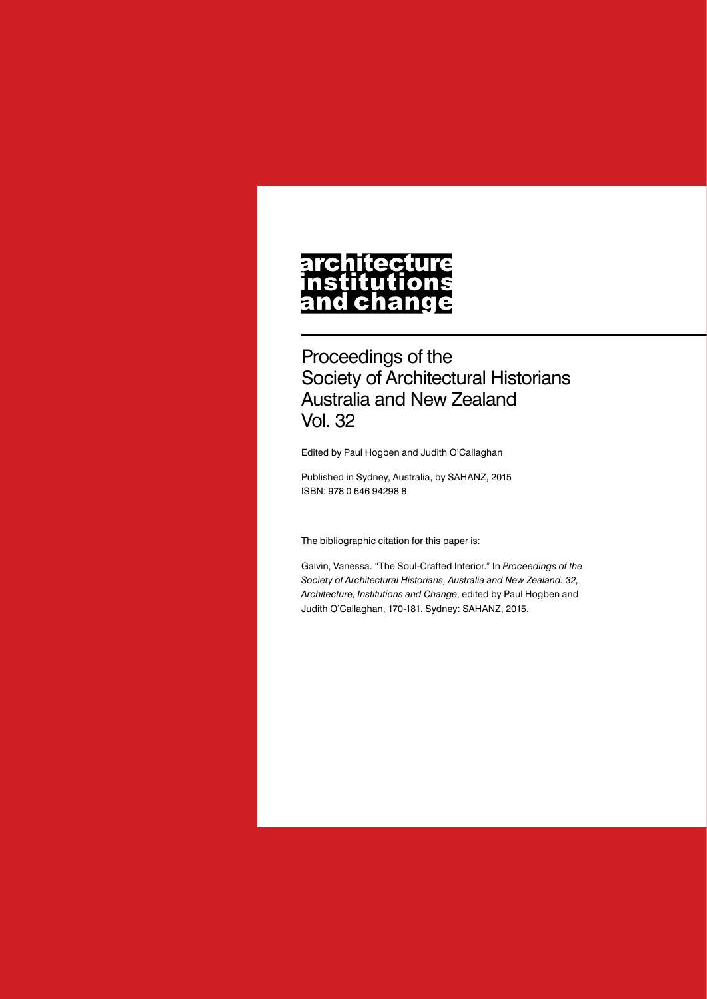## **architecture** nstitutions **ch** nd a

Proceedings of the Society of Architectural Historians Australia and New Zealand Vol. 32

Edited by Paul Hogben and Judith O'Callaghan

Published in Sydney, Australia, by SAHANZ, 2015 ISBN: 978 0 646 94298 8

The bibliographic citation for this paper is:

Galvin, Vanessa. "The Soul-Crafted Interior." In *Proceedings of the Society of Architectural Historians, Australia and New Zealand: 32, Architecture, Institutions and Change*, edited by Paul Hogben and Judith O'Callaghan, 170-181. Sydney: SAHANZ, 2015.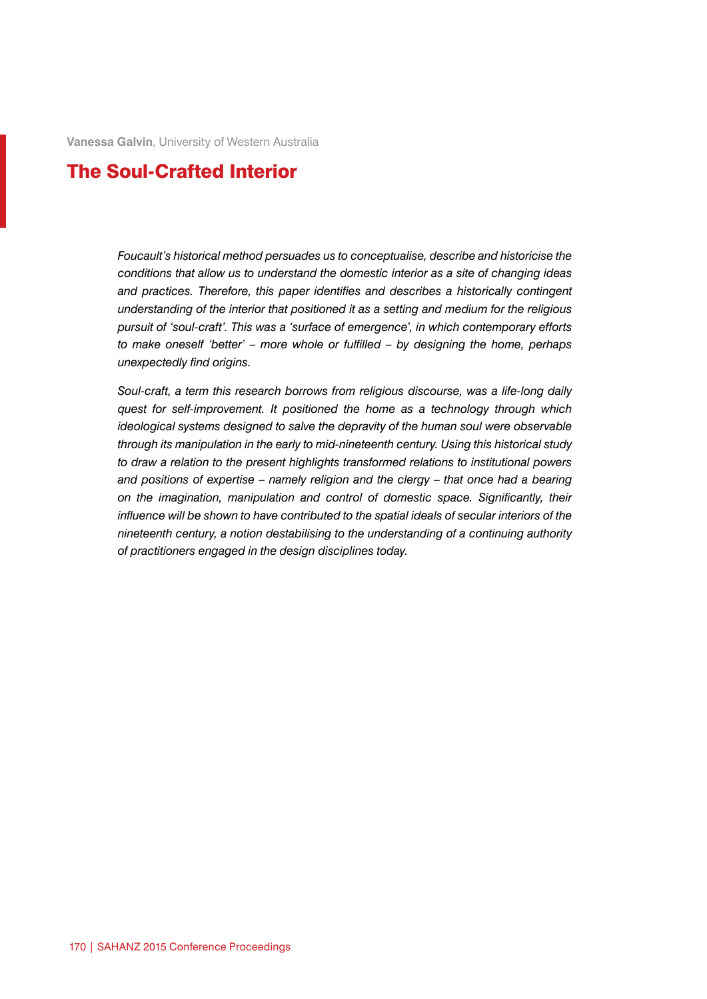**Vanessa Galvin**, University of Western Australia

## The Soul-Crafted Interior

*Foucault's historical method persuades us to conceptualise, describe and historicise the conditions that allow us to understand the domestic interior as a site of changing ideas and practices. Therefore, this paper identifies and describes a historically contingent understanding of the interior that positioned it as a setting and medium for the religious pursuit of 'soul-craft'. This was a 'surface of emergence', in which contemporary efforts to make oneself 'better' – more whole or fulfilled – by designing the home, perhaps unexpectedly find origins.*

*Soul-craft, a term this research borrows from religious discourse, was a life-long daily quest for self-improvement. It positioned the home as a technology through which ideological systems designed to salve the depravity of the human soul were observable through its manipulation in the early to mid-nineteenth century. Using this historical study to draw a relation to the present highlights transformed relations to institutional powers and positions of expertise – namely religion and the clergy – that once had a bearing on the imagination, manipulation and control of domestic space. Significantly, their influence will be shown to have contributed to the spatial ideals of secular interiors of the nineteenth century, a notion destabilising to the understanding of a continuing authority of practitioners engaged in the design disciplines today.*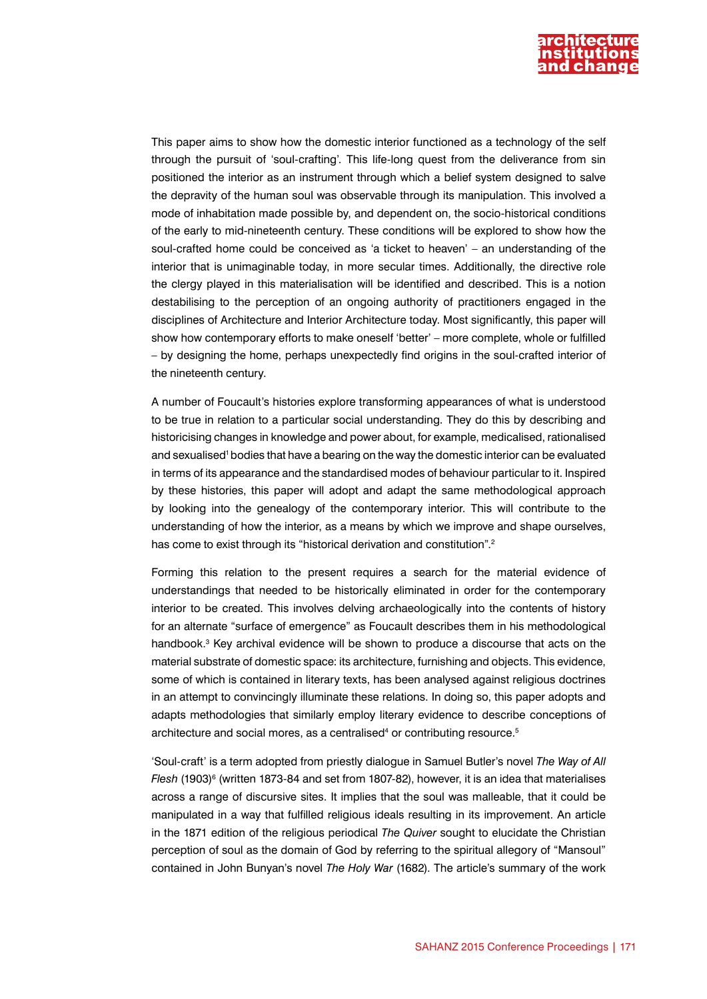

This paper aims to show how the domestic interior functioned as a technology of the self through the pursuit of 'soul-crafting'. This life-long quest from the deliverance from sin positioned the interior as an instrument through which a belief system designed to salve the depravity of the human soul was observable through its manipulation. This involved a mode of inhabitation made possible by, and dependent on, the socio-historical conditions of the early to mid-nineteenth century. These conditions will be explored to show how the soul-crafted home could be conceived as 'a ticket to heaven' – an understanding of the interior that is unimaginable today, in more secular times. Additionally, the directive role the clergy played in this materialisation will be identified and described. This is a notion destabilising to the perception of an ongoing authority of practitioners engaged in the disciplines of Architecture and Interior Architecture today. Most significantly, this paper will show how contemporary efforts to make oneself 'better' – more complete, whole or fulfilled – by designing the home, perhaps unexpectedly find origins in the soul-crafted interior of the nineteenth century.

A number of Foucault's histories explore transforming appearances of what is understood to be true in relation to a particular social understanding. They do this by describing and historicising changes in knowledge and power about, for example, medicalised, rationalised and sexualised<sup>1</sup> bodies that have a bearing on the way the domestic interior can be evaluated in terms of its appearance and the standardised modes of behaviour particular to it. Inspired by these histories, this paper will adopt and adapt the same methodological approach by looking into the genealogy of the contemporary interior. This will contribute to the understanding of how the interior, as a means by which we improve and shape ourselves, has come to exist through its "historical derivation and constitution".<sup>2</sup>

Forming this relation to the present requires a search for the material evidence of understandings that needed to be historically eliminated in order for the contemporary interior to be created. This involves delving archaeologically into the contents of history for an alternate "surface of emergence" as Foucault describes them in his methodological handbook.<sup>3</sup> Key archival evidence will be shown to produce a discourse that acts on the material substrate of domestic space: its architecture, furnishing and objects. This evidence, some of which is contained in literary texts, has been analysed against religious doctrines in an attempt to convincingly illuminate these relations. In doing so, this paper adopts and adapts methodologies that similarly employ literary evidence to describe conceptions of architecture and social mores, as a centralised<sup>4</sup> or contributing resource.<sup>5</sup>

'Soul-craft' is a term adopted from priestly dialogue in Samuel Butler's novel *The Way of All*  Flesh (1903)<sup>6</sup> (written 1873-84 and set from 1807-82), however, it is an idea that materialises across a range of discursive sites. It implies that the soul was malleable, that it could be manipulated in a way that fulfilled religious ideals resulting in its improvement. An article in the 1871 edition of the religious periodical *The Quiver* sought to elucidate the Christian perception of soul as the domain of God by referring to the spiritual allegory of "Mansoul" contained in John Bunyan's novel *The Holy War* (1682). The article's summary of the work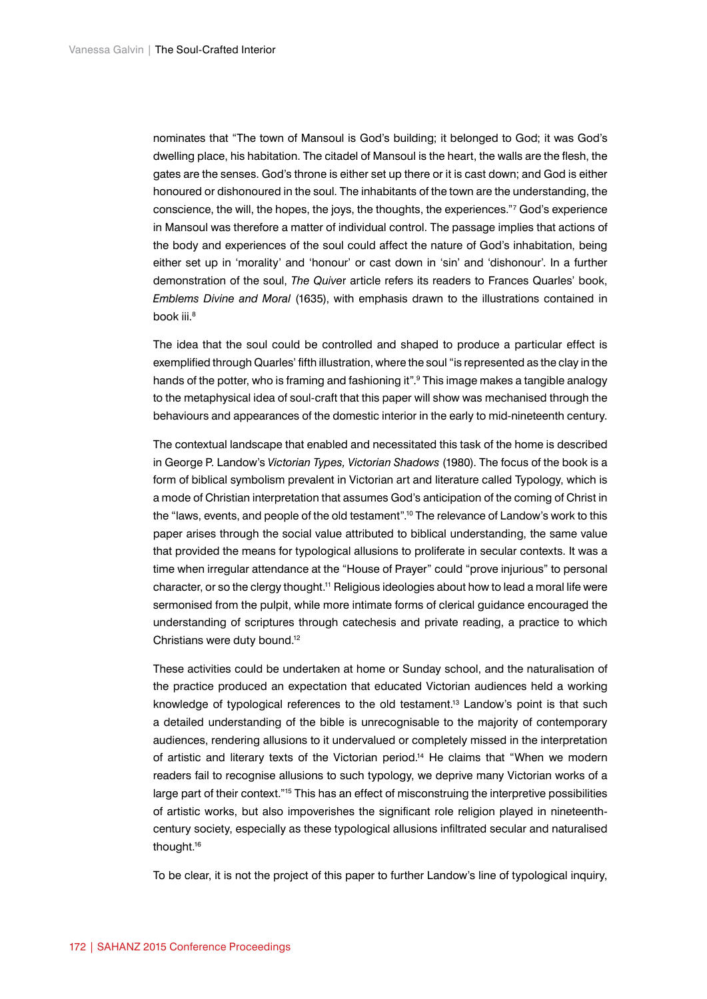nominates that "The town of Mansoul is God's building; it belonged to God; it was God's dwelling place, his habitation. The citadel of Mansoul is the heart, the walls are the flesh, the gates are the senses. God's throne is either set up there or it is cast down; and God is either honoured or dishonoured in the soul. The inhabitants of the town are the understanding, the conscience, the will, the hopes, the joys, the thoughts, the experiences."7 God's experience in Mansoul was therefore a matter of individual control. The passage implies that actions of the body and experiences of the soul could affect the nature of God's inhabitation, being either set up in 'morality' and 'honour' or cast down in 'sin' and 'dishonour'. In a further demonstration of the soul, *The Quive*r article refers its readers to Frances Quarles' book, *Emblems Divine and Moral* (1635), with emphasis drawn to the illustrations contained in book iii.<sup>8</sup>

The idea that the soul could be controlled and shaped to produce a particular effect is exemplified through Quarles' fifth illustration, where the soul "is represented as the clay in the hands of the potter, who is framing and fashioning it".9 This image makes a tangible analogy to the metaphysical idea of soul-craft that this paper will show was mechanised through the behaviours and appearances of the domestic interior in the early to mid-nineteenth century.

The contextual landscape that enabled and necessitated this task of the home is described in George P. Landow's *Victorian Types, Victorian Shadows* (1980). The focus of the book is a form of biblical symbolism prevalent in Victorian art and literature called Typology, which is a mode of Christian interpretation that assumes God's anticipation of the coming of Christ in the "laws, events, and people of the old testament".<sup>10</sup> The relevance of Landow's work to this paper arises through the social value attributed to biblical understanding, the same value that provided the means for typological allusions to proliferate in secular contexts. It was a time when irregular attendance at the "House of Prayer" could "prove injurious" to personal character, or so the clergy thought.11 Religious ideologies about how to lead a moral life were sermonised from the pulpit, while more intimate forms of clerical guidance encouraged the understanding of scriptures through catechesis and private reading, a practice to which Christians were duty bound.12

These activities could be undertaken at home or Sunday school, and the naturalisation of the practice produced an expectation that educated Victorian audiences held a working knowledge of typological references to the old testament.13 Landow's point is that such a detailed understanding of the bible is unrecognisable to the majority of contemporary audiences, rendering allusions to it undervalued or completely missed in the interpretation of artistic and literary texts of the Victorian period.<sup>14</sup> He claims that "When we modern readers fail to recognise allusions to such typology, we deprive many Victorian works of a large part of their context."15 This has an effect of misconstruing the interpretive possibilities of artistic works, but also impoverishes the significant role religion played in nineteenthcentury society, especially as these typological allusions infiltrated secular and naturalised thought.16

To be clear, it is not the project of this paper to further Landow's line of typological inquiry,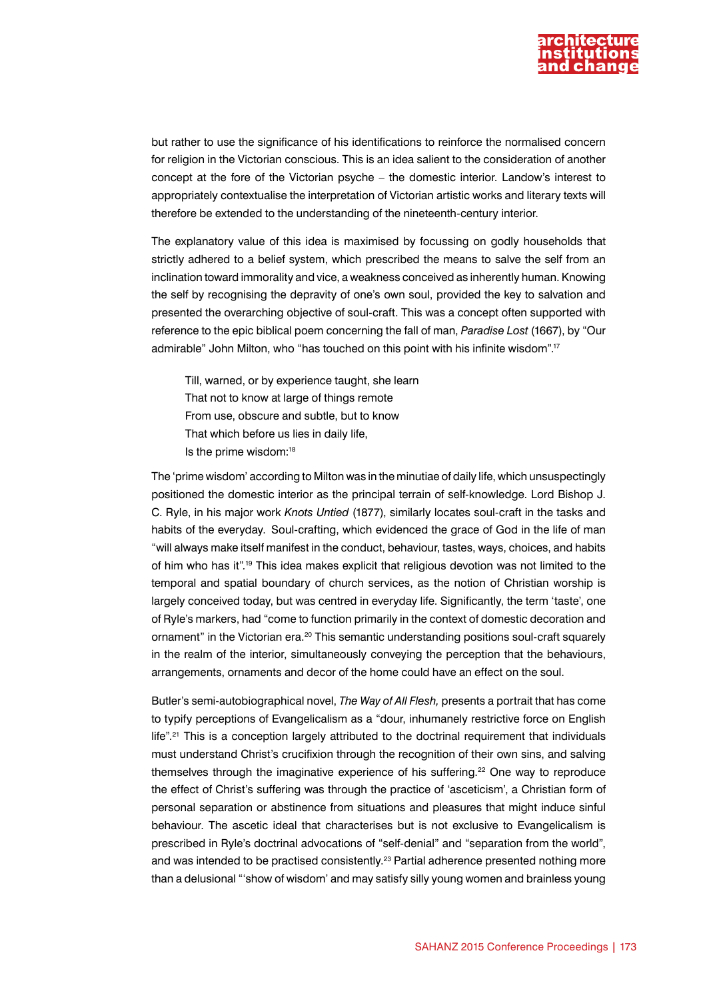

but rather to use the significance of his identifications to reinforce the normalised concern for religion in the Victorian conscious. This is an idea salient to the consideration of another concept at the fore of the Victorian psyche – the domestic interior. Landow's interest to appropriately contextualise the interpretation of Victorian artistic works and literary texts will therefore be extended to the understanding of the nineteenth-century interior.

The explanatory value of this idea is maximised by focussing on godly households that strictly adhered to a belief system, which prescribed the means to salve the self from an inclination toward immorality and vice, a weakness conceived as inherently human. Knowing the self by recognising the depravity of one's own soul, provided the key to salvation and presented the overarching objective of soul-craft. This was a concept often supported with reference to the epic biblical poem concerning the fall of man, *Paradise Lost* (1667), by "Our admirable" John Milton, who "has touched on this point with his infinite wisdom".17

Till, warned, or by experience taught, she learn That not to know at large of things remote From use, obscure and subtle, but to know That which before us lies in daily life, Is the prime wisdom:18

The 'prime wisdom' according to Milton was in the minutiae of daily life, which unsuspectingly positioned the domestic interior as the principal terrain of self-knowledge. Lord Bishop J. C. Ryle, in his major work *Knots Untied* (1877), similarly locates soul-craft in the tasks and habits of the everyday. Soul-crafting, which evidenced the grace of God in the life of man "will always make itself manifest in the conduct, behaviour, tastes, ways, choices, and habits of him who has it"*.* 19 This idea makes explicit that religious devotion was not limited to the temporal and spatial boundary of church services, as the notion of Christian worship is largely conceived today, but was centred in everyday life. Significantly, the term 'taste', one of Ryle's markers, had "come to function primarily in the context of domestic decoration and ornament" in the Victorian era.<sup>20</sup> This semantic understanding positions soul-craft squarely in the realm of the interior, simultaneously conveying the perception that the behaviours, arrangements, ornaments and decor of the home could have an effect on the soul.

Butler's semi-autobiographical novel, *The Way of All Flesh,* presents a portrait that has come to typify perceptions of Evangelicalism as a "dour, inhumanely restrictive force on English life".<sup>21</sup> This is a conception largely attributed to the doctrinal requirement that individuals must understand Christ's crucifixion through the recognition of their own sins, and salving themselves through the imaginative experience of his suffering.<sup>22</sup> One way to reproduce the effect of Christ's suffering was through the practice of 'asceticism', a Christian form of personal separation or abstinence from situations and pleasures that might induce sinful behaviour. The ascetic ideal that characterises but is not exclusive to Evangelicalism is prescribed in Ryle's doctrinal advocations of "self-denial" and "separation from the world", and was intended to be practised consistently.<sup>23</sup> Partial adherence presented nothing more than a delusional "'show of wisdom' and may satisfy silly young women and brainless young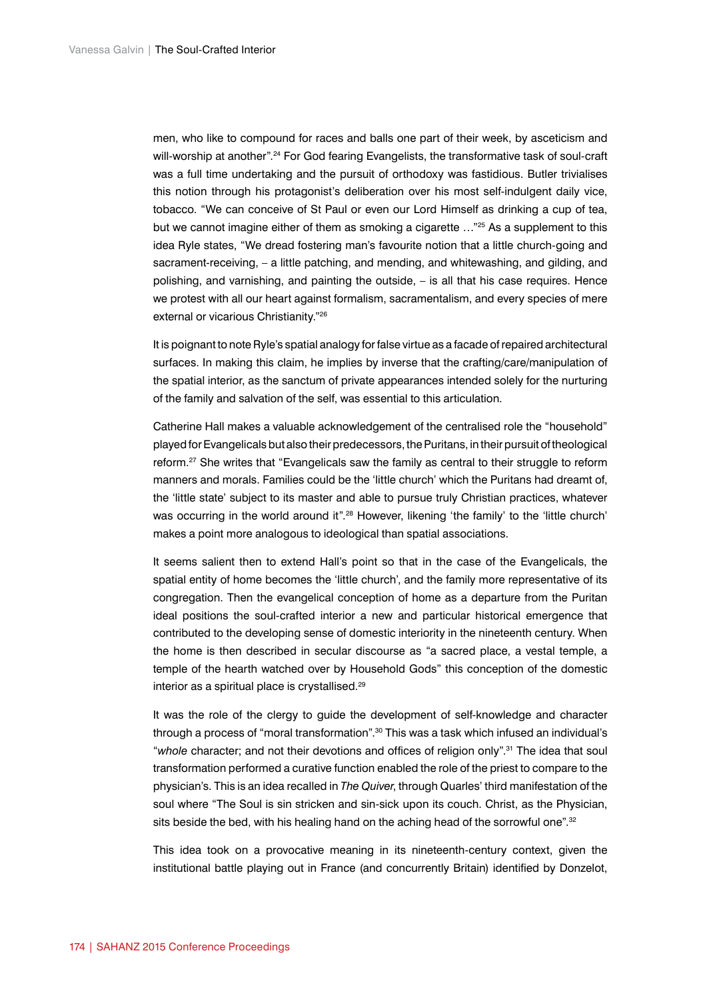men, who like to compound for races and balls one part of their week, by asceticism and will-worship at another".<sup>24</sup> For God fearing Evangelists, the transformative task of soul-craft was a full time undertaking and the pursuit of orthodoxy was fastidious. Butler trivialises this notion through his protagonist's deliberation over his most self-indulgent daily vice, tobacco. "We can conceive of St Paul or even our Lord Himself as drinking a cup of tea, but we cannot imagine either of them as smoking a cigarette ..."<sup>25</sup> As a supplement to this idea Ryle states, "We dread fostering man's favourite notion that a little church-going and sacrament-receiving, – a little patching, and mending, and whitewashing, and gilding, and polishing, and varnishing, and painting the outside, – is all that his case requires. Hence we protest with all our heart against formalism, sacramentalism, and every species of mere external or vicarious Christianity."26

It is poignant to note Ryle's spatial analogy for false virtue as a facade of repaired architectural surfaces. In making this claim, he implies by inverse that the crafting/care/manipulation of the spatial interior, as the sanctum of private appearances intended solely for the nurturing of the family and salvation of the self, was essential to this articulation.

Catherine Hall makes a valuable acknowledgement of the centralised role the "household" played for Evangelicals but also their predecessors, the Puritans, in their pursuit of theological reform.27 She writes that "Evangelicals saw the family as central to their struggle to reform manners and morals. Families could be the 'little church' which the Puritans had dreamt of, the 'little state' subject to its master and able to pursue truly Christian practices, whatever was occurring in the world around it".<sup>28</sup> However, likening 'the family' to the 'little church' makes a point more analogous to ideological than spatial associations.

It seems salient then to extend Hall's point so that in the case of the Evangelicals, the spatial entity of home becomes the 'little church', and the family more representative of its congregation. Then the evangelical conception of home as a departure from the Puritan ideal positions the soul-crafted interior a new and particular historical emergence that contributed to the developing sense of domestic interiority in the nineteenth century. When the home is then described in secular discourse as "a sacred place, a vestal temple, a temple of the hearth watched over by Household Gods" this conception of the domestic interior as a spiritual place is crystallised.<sup>29</sup>

It was the role of the clergy to guide the development of self-knowledge and character through a process of "moral transformation".<sup>30</sup> This was a task which infused an individual's "*whole* character; and not their devotions and offices of religion only".31 The idea that soul transformation performed a curative function enabled the role of the priest to compare to the physician's. This is an idea recalled in *The Quiver*, through Quarles' third manifestation of the soul where "The Soul is sin stricken and sin-sick upon its couch. Christ, as the Physician, sits beside the bed, with his healing hand on the aching head of the sorrowful one".<sup>32</sup>

This idea took on a provocative meaning in its nineteenth-century context, given the institutional battle playing out in France (and concurrently Britain) identified by Donzelot,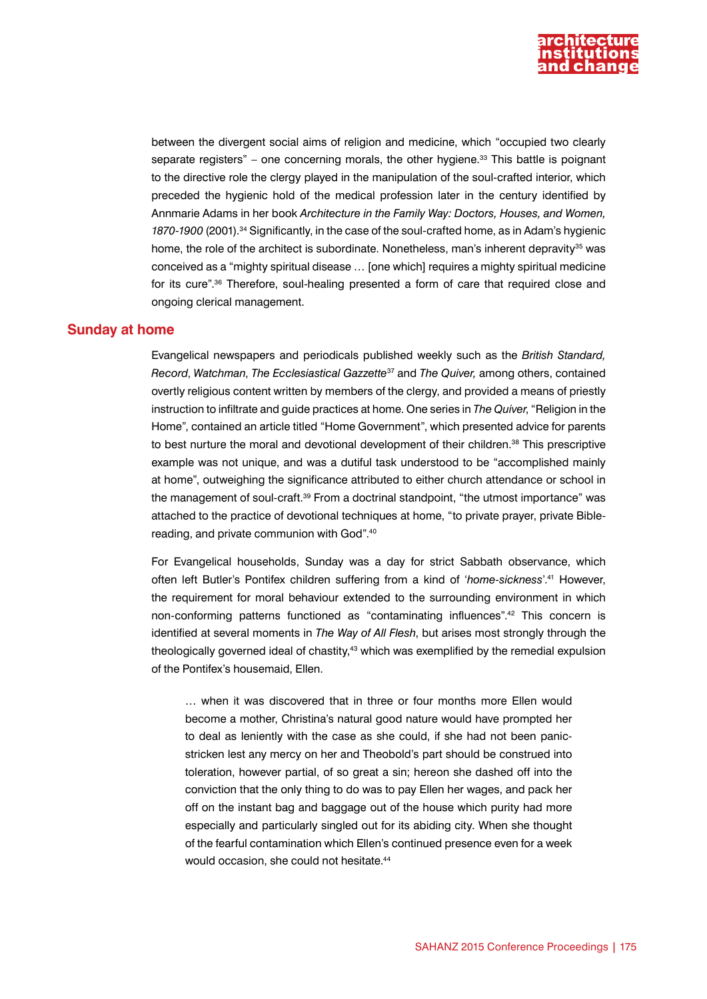

between the divergent social aims of religion and medicine, which "occupied two clearly separate registers" – one concerning morals, the other hygiene.<sup>33</sup> This battle is poignant to the directive role the clergy played in the manipulation of the soul-crafted interior, which preceded the hygienic hold of the medical profession later in the century identified by Annmarie Adams in her book *Architecture in the Family Way: Doctors, Houses, and Women, 1870-1900* (2001).34 Significantly, in the case of the soul-crafted home, as in Adam's hygienic home, the role of the architect is subordinate. Nonetheless, man's inherent depravity<sup>35</sup> was conceived as a "mighty spiritual disease … [one which] requires a mighty spiritual medicine for its cure".36 Therefore, soul-healing presented a form of care that required close and ongoing clerical management.

## **Sunday at home**

Evangelical newspapers and periodicals published weekly such as the *British Standard, Record*, *Watchman*, *The Ecclesiastical Gazzette*37 and *The Quiver,* among others, contained overtly religious content written by members of the clergy, and provided a means of priestly instruction to infiltrate and guide practices at home. One series in *The Quiver*, "Religion in the Home", contained an article titled "Home Government", which presented advice for parents to best nurture the moral and devotional development of their children.<sup>36</sup> This prescriptive example was not unique, and was a dutiful task understood to be "accomplished mainly at home", outweighing the significance attributed to either church attendance or school in the management of soul-craft.39 From a doctrinal standpoint, "the utmost importance" was attached to the practice of devotional techniques at home, "to private prayer, private Biblereading, and private communion with God".40

For Evangelical households, Sunday was a day for strict Sabbath observance, which often left Butler's Pontifex children suffering from a kind of '*home-sickness*'.41 However, the requirement for moral behaviour extended to the surrounding environment in which non-conforming patterns functioned as "contaminating influences".42 This concern is identified at several moments in *The Way of All Flesh*, but arises most strongly through the theologically governed ideal of chastity,<sup>43</sup> which was exemplified by the remedial expulsion of the Pontifex's housemaid, Ellen.

… when it was discovered that in three or four months more Ellen would become a mother, Christina's natural good nature would have prompted her to deal as leniently with the case as she could, if she had not been panicstricken lest any mercy on her and Theobold's part should be construed into toleration, however partial, of so great a sin; hereon she dashed off into the conviction that the only thing to do was to pay Ellen her wages, and pack her off on the instant bag and baggage out of the house which purity had more especially and particularly singled out for its abiding city. When she thought of the fearful contamination which Ellen's continued presence even for a week would occasion, she could not hesitate.<sup>44</sup>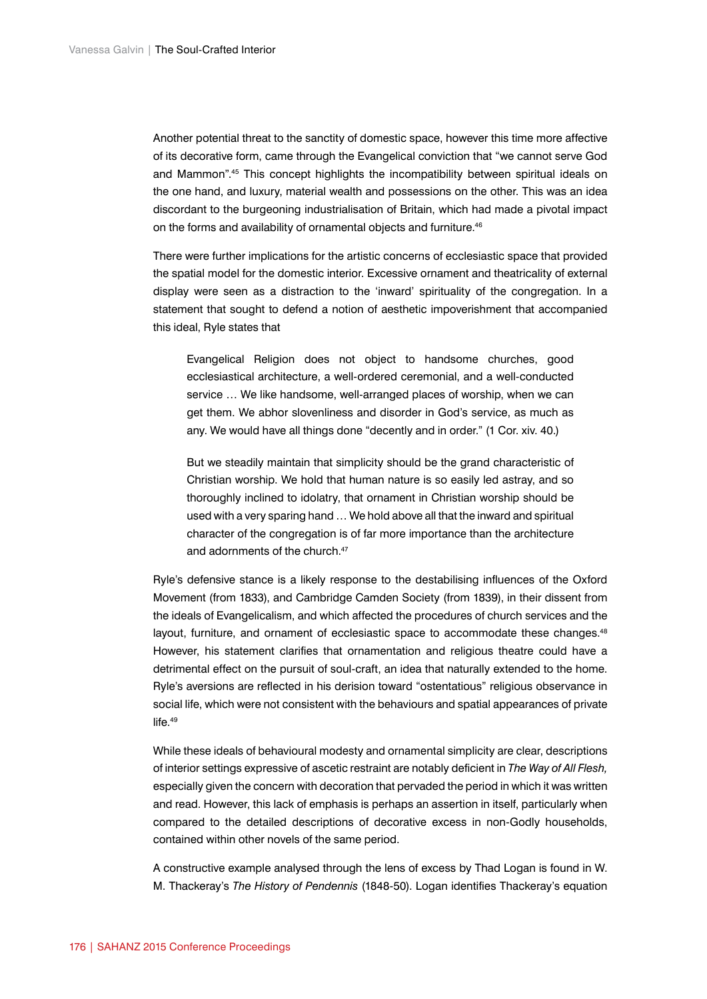Another potential threat to the sanctity of domestic space, however this time more affective of its decorative form, came through the Evangelical conviction that "we cannot serve God and Mammon".45 This concept highlights the incompatibility between spiritual ideals on the one hand, and luxury, material wealth and possessions on the other. This was an idea discordant to the burgeoning industrialisation of Britain, which had made a pivotal impact on the forms and availability of ornamental objects and furniture.<sup>46</sup>

There were further implications for the artistic concerns of ecclesiastic space that provided the spatial model for the domestic interior. Excessive ornament and theatricality of external display were seen as a distraction to the 'inward' spirituality of the congregation. In a statement that sought to defend a notion of aesthetic impoverishment that accompanied this ideal, Ryle states that

Evangelical Religion does not object to handsome churches, good ecclesiastical architecture, a well-ordered ceremonial, and a well-conducted service … We like handsome, well-arranged places of worship, when we can get them. We abhor slovenliness and disorder in God's service, as much as any. We would have all things done "decently and in order." (1 Cor. xiv. 40.)

But we steadily maintain that simplicity should be the grand characteristic of Christian worship. We hold that human nature is so easily led astray, and so thoroughly inclined to idolatry, that ornament in Christian worship should be used with a very sparing hand … We hold above all that the inward and spiritual character of the congregation is of far more importance than the architecture and adornments of the church.<sup>47</sup>

Ryle's defensive stance is a likely response to the destabilising influences of the Oxford Movement (from 1833), and Cambridge Camden Society (from 1839), in their dissent from the ideals of Evangelicalism, and which affected the procedures of church services and the layout, furniture, and ornament of ecclesiastic space to accommodate these changes.<sup>48</sup> However, his statement clarifies that ornamentation and religious theatre could have a detrimental effect on the pursuit of soul-craft, an idea that naturally extended to the home. Ryle's aversions are reflected in his derision toward "ostentatious" religious observance in social life, which were not consistent with the behaviours and spatial appearances of private life.<sup>49</sup>

While these ideals of behavioural modesty and ornamental simplicity are clear, descriptions of interior settings expressive of ascetic restraint are notably deficient in *The Way of All Flesh,*  especially given the concern with decoration that pervaded the period in which it was written and read. However, this lack of emphasis is perhaps an assertion in itself, particularly when compared to the detailed descriptions of decorative excess in non-Godly households, contained within other novels of the same period.

A constructive example analysed through the lens of excess by Thad Logan is found in W. M. Thackeray's *The History of Pendennis* (1848-50). Logan identifies Thackeray's equation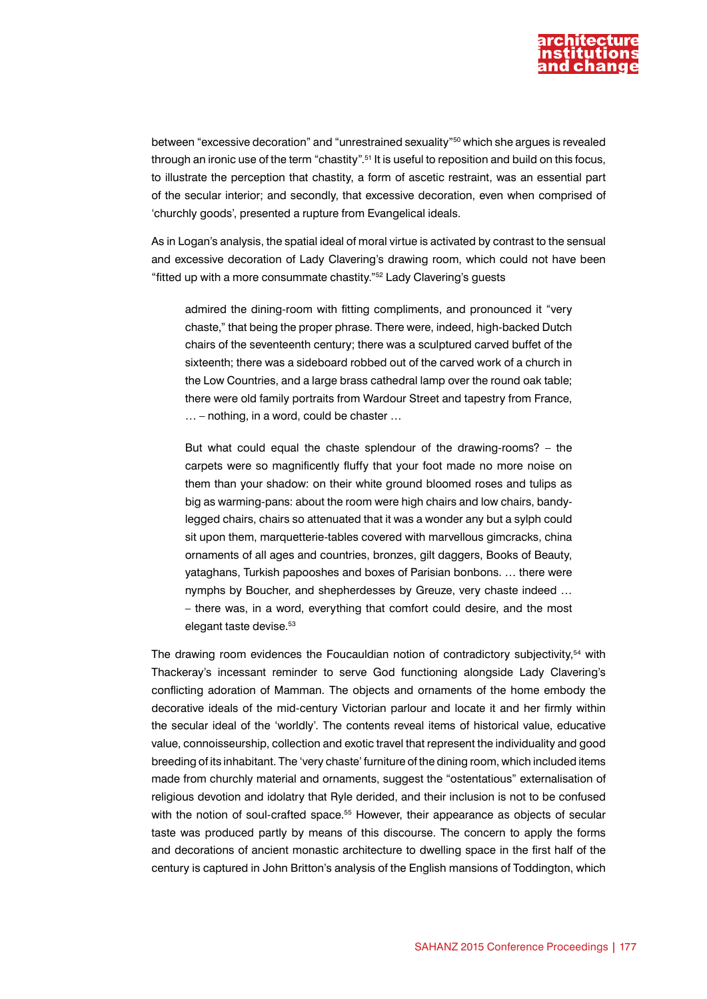

between "excessive decoration" and "unrestrained sexuality"50 which she argues is revealed through an ironic use of the term "chastity".<sup>51</sup> It is useful to reposition and build on this focus, to illustrate the perception that chastity, a form of ascetic restraint, was an essential part of the secular interior; and secondly, that excessive decoration, even when comprised of 'churchly goods', presented a rupture from Evangelical ideals.

As in Logan's analysis, the spatial ideal of moral virtue is activated by contrast to the sensual and excessive decoration of Lady Clavering's drawing room, which could not have been "fitted up with a more consummate chastity."52 Lady Clavering's guests

admired the dining-room with fitting compliments, and pronounced it "very chaste," that being the proper phrase. There were, indeed, high-backed Dutch chairs of the seventeenth century; there was a sculptured carved buffet of the sixteenth; there was a sideboard robbed out of the carved work of a church in the Low Countries, and a large brass cathedral lamp over the round oak table; there were old family portraits from Wardour Street and tapestry from France, … – nothing, in a word, could be chaster …

But what could equal the chaste splendour of the drawing-rooms? – the carpets were so magnificently fluffy that your foot made no more noise on them than your shadow: on their white ground bloomed roses and tulips as big as warming-pans: about the room were high chairs and low chairs, bandylegged chairs, chairs so attenuated that it was a wonder any but a sylph could sit upon them, marquetterie-tables covered with marvellous gimcracks, china ornaments of all ages and countries, bronzes, gilt daggers, Books of Beauty, yataghans, Turkish papooshes and boxes of Parisian bonbons. … there were nymphs by Boucher, and shepherdesses by Greuze, very chaste indeed … – there was, in a word, everything that comfort could desire, and the most elegant taste devise.<sup>53</sup>

The drawing room evidences the Foucauldian notion of contradictory subjectivity,<sup>54</sup> with Thackeray's incessant reminder to serve God functioning alongside Lady Clavering's conflicting adoration of Mamman. The objects and ornaments of the home embody the decorative ideals of the mid-century Victorian parlour and locate it and her firmly within the secular ideal of the 'worldly'. The contents reveal items of historical value, educative value, connoisseurship, collection and exotic travel that represent the individuality and good breeding of its inhabitant. The 'very chaste' furniture of the dining room, which included items made from churchly material and ornaments, suggest the "ostentatious" externalisation of religious devotion and idolatry that Ryle derided, and their inclusion is not to be confused with the notion of soul-crafted space.<sup>55</sup> However, their appearance as objects of secular taste was produced partly by means of this discourse. The concern to apply the forms and decorations of ancient monastic architecture to dwelling space in the first half of the century is captured in John Britton's analysis of the English mansions of Toddington, which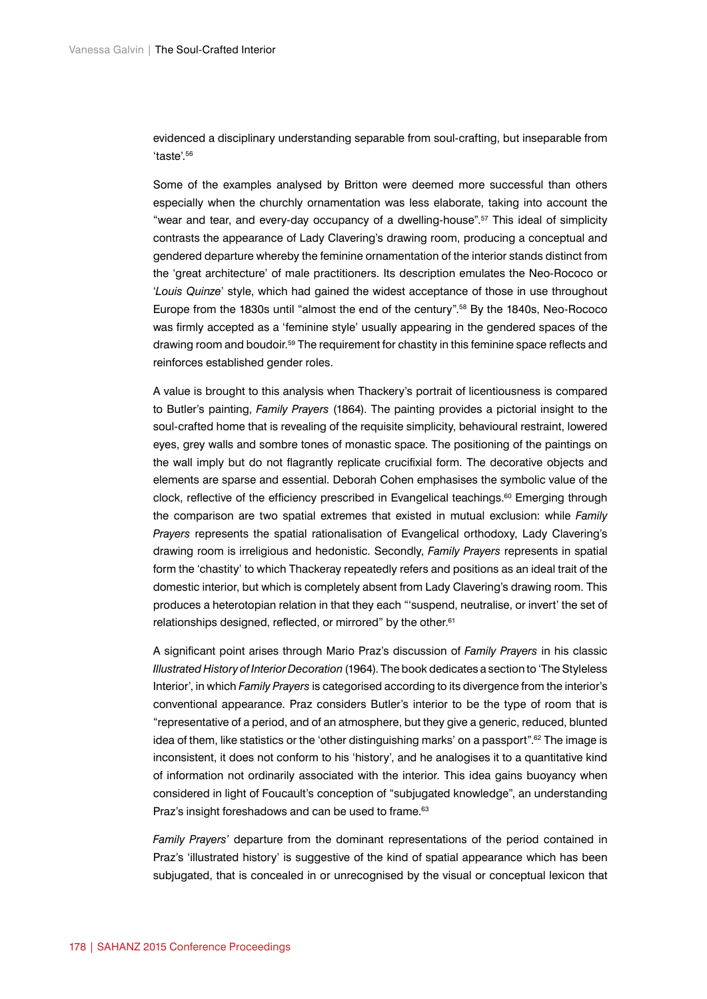evidenced a disciplinary understanding separable from soul-crafting, but inseparable from 'taste'.56

Some of the examples analysed by Britton were deemed more successful than others especially when the churchly ornamentation was less elaborate, taking into account the "wear and tear, and every-day occupancy of a dwelling-house".57 This ideal of simplicity contrasts the appearance of Lady Clavering's drawing room, producing a conceptual and gendered departure whereby the feminine ornamentation of the interior stands distinct from the 'great architecture' of male practitioners. Its description emulates the Neo-Rococo or '*Louis Quinze*' style, which had gained the widest acceptance of those in use throughout Europe from the 1830s until "almost the end of the century".58 By the 1840s, Neo-Rococo was firmly accepted as a 'feminine style' usually appearing in the gendered spaces of the drawing room and boudoir.59 The requirement for chastity in this feminine space reflects and reinforces established gender roles.

A value is brought to this analysis when Thackery's portrait of licentiousness is compared to Butler's painting, *Family Prayers* (1864). The painting provides a pictorial insight to the soul-crafted home that is revealing of the requisite simplicity, behavioural restraint, lowered eyes, grey walls and sombre tones of monastic space. The positioning of the paintings on the wall imply but do not flagrantly replicate crucifixial form. The decorative objects and elements are sparse and essential. Deborah Cohen emphasises the symbolic value of the clock, reflective of the efficiency prescribed in Evangelical teachings.<sup>60</sup> Emerging through the comparison are two spatial extremes that existed in mutual exclusion: while *Family Prayers* represents the spatial rationalisation of Evangelical orthodoxy, Lady Clavering's drawing room is irreligious and hedonistic. Secondly, *Family Prayers* represents in spatial form the 'chastity' to which Thackeray repeatedly refers and positions as an ideal trait of the domestic interior, but which is completely absent from Lady Clavering's drawing room. This produces a heterotopian relation in that they each "'suspend, neutralise, or invert' the set of relationships designed, reflected, or mirrored" by the other.<sup>61</sup>

A significant point arises through Mario Praz's discussion of *Family Prayers* in his classic *Illustrated History of Interior Decoration* (1964). The book dedicates a section to 'The Styleless Interior', in which *Family Prayers* is categorised according to its divergence from the interior's conventional appearance. Praz considers Butler's interior to be the type of room that is "representative of a period, and of an atmosphere, but they give a generic, reduced, blunted idea of them, like statistics or the 'other distinguishing marks' on a passport".<sup>62</sup> The image is inconsistent, it does not conform to his 'history', and he analogises it to a quantitative kind of information not ordinarily associated with the interior. This idea gains buoyancy when considered in light of Foucault's conception of "subjugated knowledge", an understanding Praz's insight foreshadows and can be used to frame.<sup>63</sup>

*Family Prayers'* departure from the dominant representations of the period contained in Praz's 'illustrated history' is suggestive of the kind of spatial appearance which has been subjugated, that is concealed in or unrecognised by the visual or conceptual lexicon that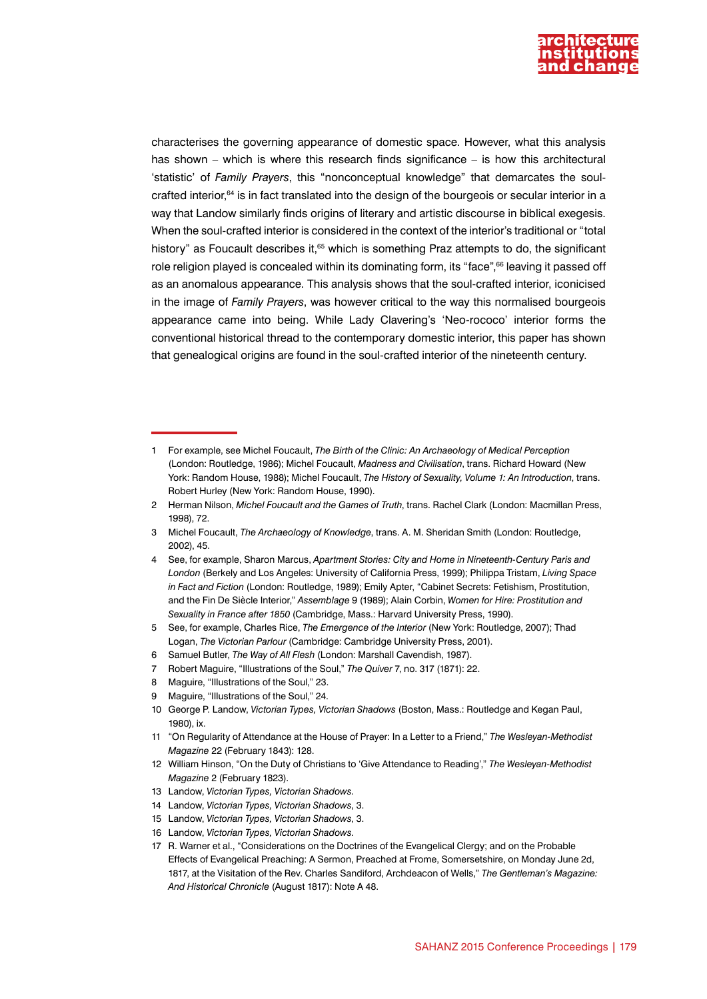

characterises the governing appearance of domestic space. However, what this analysis has shown – which is where this research finds significance – is how this architectural 'statistic' of *Family Prayers*, this "nonconceptual knowledge" that demarcates the soulcrafted interior,<sup>64</sup> is in fact translated into the design of the bourgeois or secular interior in a way that Landow similarly finds origins of literary and artistic discourse in biblical exegesis. When the soul-crafted interior is considered in the context of the interior's traditional or "total history" as Foucault describes it,<sup>65</sup> which is something Praz attempts to do, the significant role religion played is concealed within its dominating form, its "face",<sup>66</sup> leaving it passed off as an anomalous appearance. This analysis shows that the soul-crafted interior, iconicised in the image of *Family Prayers*, was however critical to the way this normalised bourgeois appearance came into being. While Lady Clavering's 'Neo-rococo' interior forms the conventional historical thread to the contemporary domestic interior, this paper has shown that genealogical origins are found in the soul-crafted interior of the nineteenth century.

- 5 See, for example, Charles Rice, *The Emergence of the Interior* (New York: Routledge, 2007); Thad Logan, *The Victorian Parlour* (Cambridge: Cambridge University Press, 2001).
- 6 Samuel Butler, *The Way of All Flesh* (London: Marshall Cavendish, 1987).
- 7 Robert Maguire, "Illustrations of the Soul," *The Quiver* 7, no. 317 (1871): 22.

- 9 Maguire, "Illustrations of the Soul," 24.
- 10 George P. Landow, *Victorian Types, Victorian Shadows* (Boston, Mass.: Routledge and Kegan Paul, 1980) ix.
- 11 "On Regularity of Attendance at the House of Prayer: In a Letter to a Friend," *The Wesleyan-Methodist Magazine* 22 (February 1843): 128.
- 12 William Hinson, "On the Duty of Christians to 'Give Attendance to Reading'," *The Wesleyan-Methodist Magazine* 2 (February 1823).

- 14 Landow, *Victorian Types, Victorian Shadows*, 3.
- 15 Landow, *Victorian Types, Victorian Shadows*, 3.
- 16 Landow, *Victorian Types, Victorian Shadows*.

<sup>1</sup> For example, see Michel Foucault, *The Birth of the Clinic: An Archaeology of Medical Perception*  (London: Routledge, 1986); Michel Foucault, *Madness and Civilisation*, trans. Richard Howard (New York: Random House, 1988); Michel Foucault, *The History of Sexuality, Volume 1: An Introduction*, trans. Robert Hurley (New York: Random House, 1990).

<sup>2</sup> Herman Nilson, *Michel Foucault and the Games of Truth*, trans. Rachel Clark (London: Macmillan Press, 1998), 72.

<sup>3</sup> Michel Foucault, *The Archaeology of Knowledge*, trans. A. M. Sheridan Smith (London: Routledge, 2002), 45.

<sup>4</sup> See, for example, Sharon Marcus, *Apartment Stories: City and Home in Nineteenth-Century Paris and London* (Berkely and Los Angeles: University of California Press, 1999); Philippa Tristam, *Living Space in Fact and Fiction* (London: Routledge, 1989); Emily Apter, "Cabinet Secrets: Fetishism, Prostitution, and the Fin De Siècle Interior," *Assemblage* 9 (1989); Alain Corbin, *Women for Hire: Prostitution and Sexuality in France after 1850* (Cambridge, Mass.: Harvard University Press, 1990).

<sup>8</sup> Maguire, "Illustrations of the Soul," 23.

<sup>13</sup> Landow, *Victorian Types, Victorian Shadows*.

<sup>17</sup> R. Warner et al., "Considerations on the Doctrines of the Evangelical Clergy; and on the Probable Effects of Evangelical Preaching: A Sermon, Preached at Frome, Somersetshire, on Monday June 2d, 1817, at the Visitation of the Rev. Charles Sandiford, Archdeacon of Wells," *The Gentleman's Magazine: And Historical Chronicle* (August 1817): Note A 48.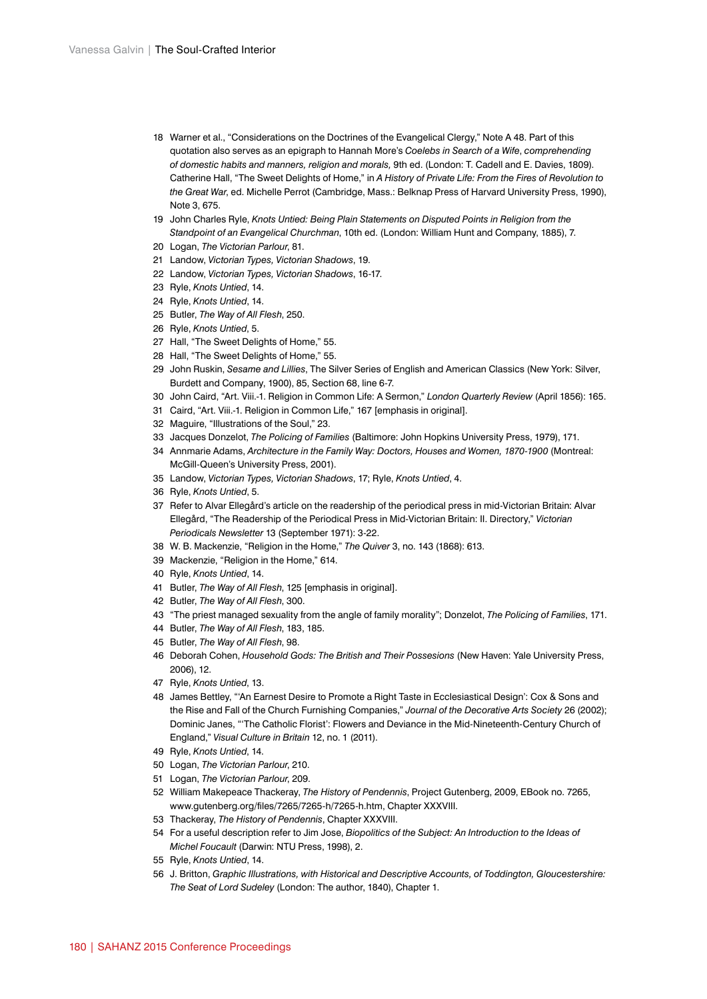- Warner et al., "Considerations on the Doctrines of the Evangelical Clergy," Note A 48. Part of this quotation also serves as an epigraph to Hannah More's *Coelebs in Search of a Wife*, *comprehending of domestic habits and manners, religion and morals,* 9th ed. (London: T. Cadell and E. Davies, 1809). Catherine Hall, "The Sweet Delights of Home," in *A History of Private Life: From the Fires of Revolution to the Great War*, ed. Michelle Perrot (Cambridge, Mass.: Belknap Press of Harvard University Press, 1990), Note 3, 675.
- John Charles Ryle, *Knots Untied: Being Plain Statements on Disputed Points in Religion from the Standpoint of an Evangelical Churchman*, 10th ed. (London: William Hunt and Company, 1885), 7.
- Logan, *The Victorian Parlour*, 81.
- Landow, *Victorian Types, Victorian Shadows*, 19.
- Landow, *Victorian Types, Victorian Shadows*, 16-17.
- Ryle, *Knots Untied*, 14.
- Ryle, *Knots Untied*, 14.
- Butler, *The Way of All Flesh*, 250.
- Ryle, *Knots Untied*, 5.
- Hall, "The Sweet Delights of Home," 55.
- Hall, "The Sweet Delights of Home," 55.
- John Ruskin, *Sesame and Lillies*, The Silver Series of English and American Classics (New York: Silver, Burdett and Company, 1900), 85, Section 68, line 6-7.
- John Caird, "Art. Viii.-1. Religion in Common Life: A Sermon," *London Quarterly Review* (April 1856): 165.
- Caird, "Art. Viii.-1. Religion in Common Life," 167 [emphasis in original].
- Maguire, "Illustrations of the Soul," 23.
- Jacques Donzelot, *The Policing of Families* (Baltimore: John Hopkins University Press, 1979), 171.
- Annmarie Adams, *Architecture in the Family Way: Doctors, Houses and Women, 1870-1900* (Montreal: McGill-Queen's University Press, 2001).
- Landow, *Victorian Types, Victorian Shadows*, 17; Ryle, *Knots Untied*, 4.
- Ryle, *Knots Untied*, 5.
- Refer to Alvar Ellegård's article on the readership of the periodical press in mid-Victorian Britain: Alvar Ellegård, "The Readership of the Periodical Press in Mid-Victorian Britain: II. Directory," *Victorian Periodicals Newsletter* 13 (September 1971): 3-22.
- W. B. Mackenzie, "Religion in the Home," *The Quiver* 3, no. 143 (1868): 613.
- Mackenzie, "Religion in the Home," 614.
- Ryle, *Knots Untied*, 14.
- Butler, *The Way of All Flesh*, 125 [emphasis in original].
- Butler, *The Way of All Flesh*, 300.
- "The priest managed sexuality from the angle of family morality"; Donzelot, *The Policing of Families*, 171.
- Butler, *The Way of All Flesh*, 183, 185.
- Butler, *The Way of All Flesh*, 98.
- Deborah Cohen, *Household Gods: The British and Their Possesions* (New Haven: Yale University Press, 2006), 12.
- Ryle, *Knots Untied*, 13.
- James Bettley, "'An Earnest Desire to Promote a Right Taste in Ecclesiastical Design': Cox & Sons and the Rise and Fall of the Church Furnishing Companies," *Journal of the Decorative Arts Society* 26 (2002); Dominic Janes, "'The Catholic Florist': Flowers and Deviance in the Mid-Nineteenth-Century Church of England," *Visual Culture in Britain* 12, no. 1 (2011).
- Ryle, *Knots Untied*, 14.
- Logan, *The Victorian Parlour*, 210.
- Logan, *The Victorian Parlour*, 209.
- William Makepeace Thackeray, *The History of Pendennis*, Project Gutenberg, 2009, EBook no. 7265, [www.gutenberg.org/files/7265/7265-h/7265-h.htm](http://www.gutenberg.org/files/7265/7265-h/7265-h.htm), Chapter XXXVIII.
- Thackeray, *The History of Pendennis*, Chapter XXXVIII.
- For a useful description refer to Jim Jose, *Biopolitics of the Subject: An Introduction to the Ideas of Michel Foucault* (Darwin: NTU Press, 1998), 2.
- Ryle, *Knots Untied*, 14.
- J. Britton, *Graphic Illustrations, with Historical and Descriptive Accounts, of Toddington, Gloucestershire: The Seat of Lord Sudeley* (London: The author, 1840), Chapter 1.